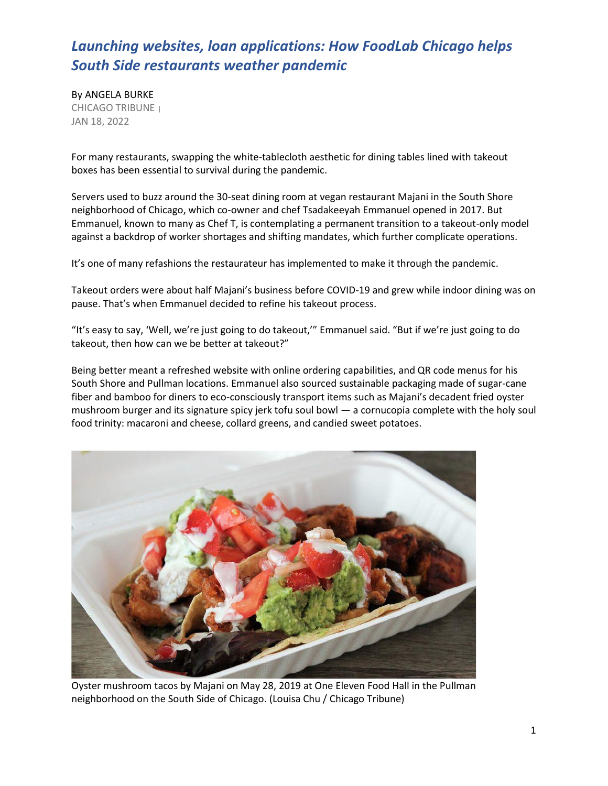By ANGELA BURKE CHICAGO TRIBUNE <sup>|</sup> JAN 18, 2022

For many restaurants, swapping the white-tablecloth aesthetic for dining tables lined with takeout boxes has been essential to survival during the pandemic.

Servers used to buzz around the 30-seat dining room at vegan restaurant Majani in the South Shore neighborhood of Chicago, which co-owner and chef Tsadakeeyah Emmanuel opened in 2017. But Emmanuel, known to many as Chef T, is contemplating a permanent transition to a takeout-only model against a backdrop of worker shortages and shifting mandates, which further complicate operations.

It's one of many refashions the restaurateur has implemented to make it through the pandemic.

Takeout orders were about half Majani's business before COVID-19 and grew while indoor dining was on pause. That's when Emmanuel decided to refine his takeout process.

"It's easy to say, 'Well, we're just going to do takeout,'" Emmanuel said. "But if we're just going to do takeout, then how can we be better at takeout?"

Being better meant a refreshed website with online ordering capabilities, and QR code menus for his South Shore and Pullman locations. Emmanuel also sourced sustainable packaging made of sugar-cane fiber and bamboo for diners to eco-consciously transport items such as Majani's decadent fried oyster mushroom burger and its signature spicy jerk tofu soul bowl — a cornucopia complete with the holy soul food trinity: macaroni and cheese, collard greens, and candied sweet potatoes.



Oyster mushroom tacos by Majani on May 28, 2019 at One Eleven Food Hall in the Pullman neighborhood on the South Side of Chicago. (Louisa Chu / Chicago Tribune)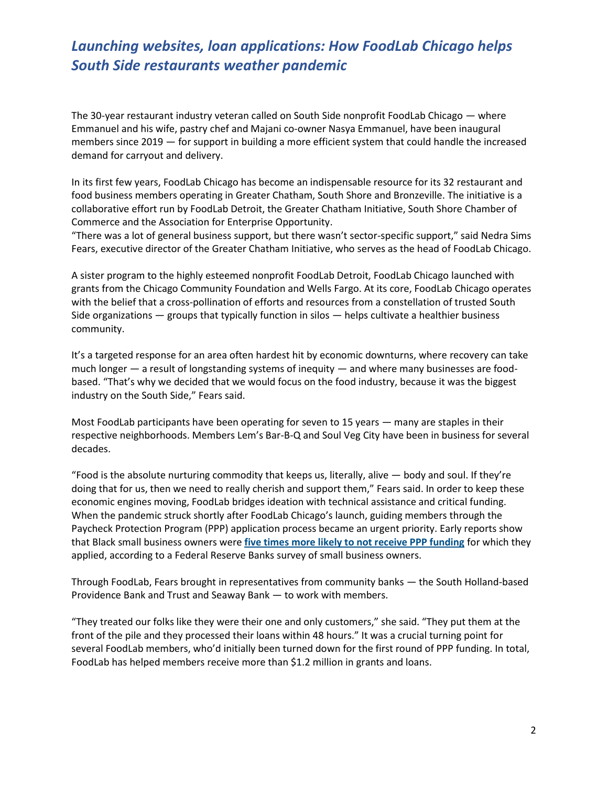The 30-year restaurant industry veteran called on South Side nonprofit FoodLab Chicago — where Emmanuel and his wife, pastry chef and Majani co-owner Nasya Emmanuel, have been inaugural members since 2019 — for support in building a more efficient system that could handle the increased demand for carryout and delivery.

In its first few years, FoodLab Chicago has become an indispensable resource for its 32 restaurant and food business members operating in Greater Chatham, South Shore and Bronzeville. The initiative is a collaborative effort run by FoodLab Detroit, the Greater Chatham Initiative, South Shore Chamber of Commerce and the Association for Enterprise Opportunity.

"There was a lot of general business support, but there wasn't sector-specific support," said Nedra Sims Fears, executive director of the Greater Chatham Initiative, who serves as the head of FoodLab Chicago.

A sister program to the highly esteemed nonprofit FoodLab Detroit, FoodLab Chicago launched with grants from the Chicago Community Foundation and Wells Fargo. At its core, FoodLab Chicago operates with the belief that a cross-pollination of efforts and resources from a constellation of trusted South Side organizations — groups that typically function in silos — helps cultivate a healthier business community.

It's a targeted response for an area often hardest hit by economic downturns, where recovery can take much longer — a result of longstanding systems of inequity — and where many businesses are foodbased. "That's why we decided that we would focus on the food industry, because it was the biggest industry on the South Side," Fears said.

Most FoodLab participants have been operating for seven to 15 years — many are staples in their respective neighborhoods. Members Lem's Bar-B-Q and Soul Veg City have been in business for several decades.

"Food is the absolute nurturing commodity that keeps us, literally, alive — body and soul. If they're doing that for us, then we need to really cherish and support them," Fears said. In order to keep these economic engines moving, FoodLab bridges ideation with technical assistance and critical funding. When the pandemic struck shortly after FoodLab Chicago's launch, guiding members through the Paycheck Protection Program (PPP) application process became an urgent priority. Early reports show that Black small business owners were **[five times](https://www.newyorkfed.org/medialibrary/FedSmallBusiness/files/2021/sbcs-report-on-firms-owned-by-people-of-color) [more likely to not receive PPP funding](https://www.newyorkfed.org/medialibrary/FedSmallBusiness/files/2021/sbcs-report-on-firms-owned-by-people-of-color)** for which they applied, according to a Federal Reserve Banks survey of small business owners.

Through FoodLab, Fears brought in representatives from community banks — the South Holland-based Providence Bank and Trust and Seaway Bank — to work with members.

"They treated our folks like they were their one and only customers," she said. "They put them at the front of the pile and they processed their loans within 48 hours." It was a crucial turning point for several FoodLab members, who'd initially been turned down for the first round of PPP funding. In total, FoodLab has helped members receive more than \$1.2 million in grants and loans.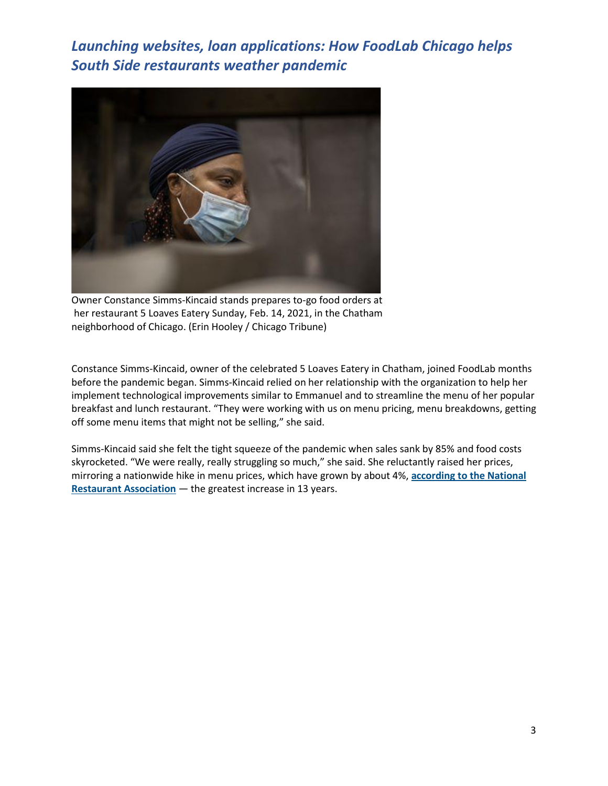

Owner Constance Simms-Kincaid stands prepares to-go food orders at her restaurant 5 Loaves Eatery Sunday, Feb. 14, 2021, in the Chatham neighborhood of Chicago. (Erin Hooley / Chicago Tribune)

Constance Simms-Kincaid, owner of the celebrated 5 Loaves Eatery in Chatham, joined FoodLab months before the pandemic began. Simms-Kincaid relied on her relationship with the organization to help her implement technological improvements similar to Emmanuel and to streamline the menu of her popular breakfast and lunch restaurant. "They were working with us on menu pricing, menu breakdowns, getting off some menu items that might not be selling," she said.

Simms-Kincaid said she felt the tight squeeze of the pandemic when sales sank by 85% and food costs skyrocketed. "We were really, really struggling so much," she said. She reluctantly raised her prices, mirroring a nationwide hike in menu prices, which have grown by about 4%, **[according to the National](https://go.restaurant.org/rs/078-ZLA-461/images/2021-SOI_Mid-Year%20Update%20Final.pdf)  [Restaurant Association](https://go.restaurant.org/rs/078-ZLA-461/images/2021-SOI_Mid-Year%20Update%20Final.pdf)** — the greatest increase in 13 years.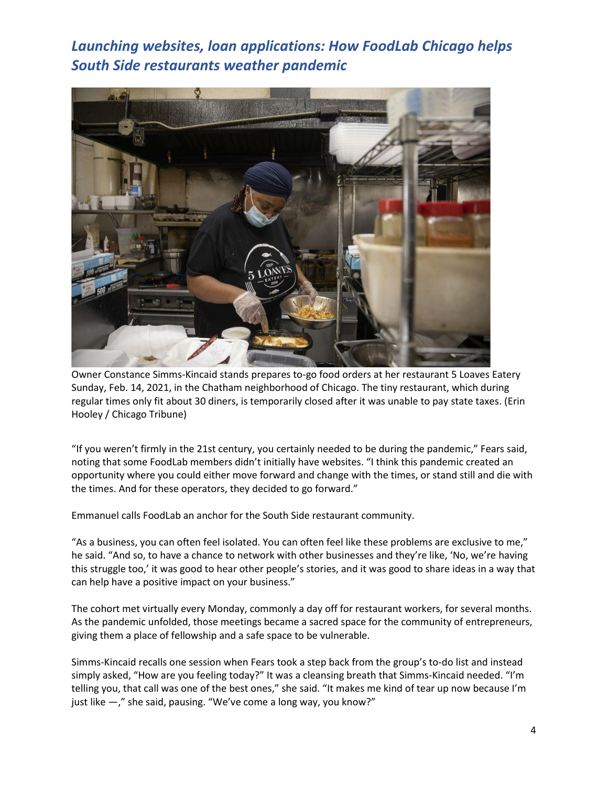

Owner Constance Simms-Kincaid stands prepares to-go food orders at her restaurant 5 Loaves Eatery Sunday, Feb. 14, 2021, in the Chatham neighborhood of Chicago. The tiny restaurant, which during regular times only fit about 30 diners, is temporarily closed after it was unable to pay state taxes. (Erin Hooley / Chicago Tribune)

"If you weren't firmly in the 21st century, you certainly needed to be during the pandemic," Fears said, noting that some FoodLab members didn't initially have websites. "I think this pandemic created an opportunity where you could either move forward and change with the times, or stand still and die with the times. And for these operators, they decided to go forward."

Emmanuel calls FoodLab an anchor for the South Side restaurant community.

"As a business, you can often feel isolated. You can often feel like these problems are exclusive to me," he said. "And so, to have a chance to network with other businesses and they're like, 'No, we're having this struggle too,' it was good to hear other people's stories, and it was good to share ideas in a way that can help have a positive impact on your business."

The cohort met virtually every Monday, commonly a day off for restaurant workers, for several months. As the pandemic unfolded, those meetings became a sacred space for the community of entrepreneurs, giving them a place of fellowship and a safe space to be vulnerable.

Simms-Kincaid recalls one session when Fears took a step back from the group's to-do list and instead simply asked, "How are you feeling today?" It was a cleansing breath that Simms-Kincaid needed. "I'm telling you, that call was one of the best ones," she said. "It makes me kind of tear up now because I'm just like  $-$ ," she said, pausing. "We've come a long way, you know?"